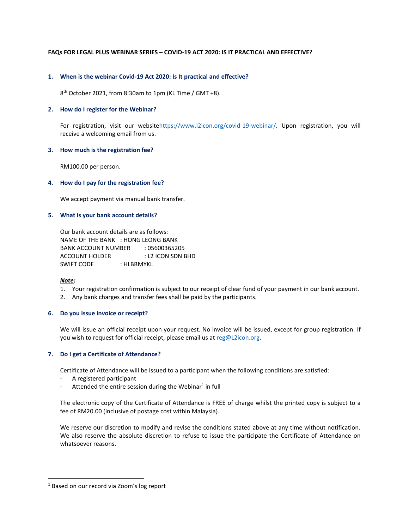## **FAQs FOR LEGAL PLUS WEBINAR SERIES – COVID-19 ACT 2020: IS IT PRACTICAL AND EFFECTIVE?**

## **1. When is the webinar Covid-19 Act 2020: Is It practical and effective?**

8 th October 2021, from 8:30am to 1pm (KL Time / GMT +8).

## **2. How do I register for the Webinar?**

For registration, visit our websitehttps://www.l2icon.org/covid-19-webinar/. Upon registration, you will receive a welcoming email from us.

## **3. How much is the registration fee?**

RM100.00 per person.

#### **4. How do I pay for the registration fee?**

We accept payment via manual bank transfer.

## **5. What is your bank account details?**

Our bank account details are as follows: NAME OF THE BANK : HONG LEONG BANK BANK ACCOUNT NUMBER : 05600365205 ACCOUNT HOLDER : L2 ICON SDN BHD SWIFT CODE : HLBBMYKL

#### *Note:*

- 1. Your registration confirmation is subject to our receipt of clear fund of your payment in our bank account.
- 2. Any bank charges and transfer fees shall be paid by the participants.

#### **6. Do you issue invoice or receipt?**

We will issue an official receipt upon your request. No invoice will be issued, except for group registration. If you wish to request for official receipt, please email us a[t reg@L2icon.org.](mailto:reg@L2icon.org)

#### **7. Do I get a Certificate of Attendance?**

Certificate of Attendance will be issued to a participant when the following conditions are satisfied:

- A registered participant
- Attended the entire session during the Webinar<sup>1</sup> in full

The electronic copy of the Certificate of Attendance is FREE of charge whilst the printed copy is subject to a fee of RM20.00 (inclusive of postage cost within Malaysia).

We reserve our discretion to modify and revise the conditions stated above at any time without notification. We also reserve the absolute discretion to refuse to issue the participate the Certificate of Attendance on whatsoever reasons.

<sup>&</sup>lt;sup>1</sup> Based on our record via Zoom's log report